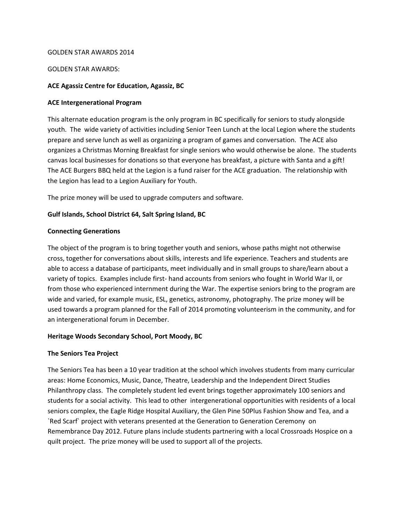## GOLDEN STAR AWARDS 2014

## GOLDEN STAR AWARDS:

## **ACE Agassiz Centre for Education, Agassiz, BC**

#### **ACE Intergenerational Program**

This alternate education program is the only program in BC specifically for seniors to study alongside youth. The wide variety of activities including Senior Teen Lunch at the local Legion where the students prepare and serve lunch as well as organizing a program of games and conversation. The ACE also organizes a Christmas Morning Breakfast for single seniors who would otherwise be alone. The students canvas local businesses for donations so that everyone has breakfast, a picture with Santa and a gift! The ACE Burgers BBQ held at the Legion is a fund raiser for the ACE graduation. The relationship with the Legion has lead to a Legion Auxiliary for Youth.

The prize money will be used to upgrade computers and software.

# **Gulf Islands, School District 64, Salt Spring Island, BC**

## **Connecting Generations**

The object of the program is to bring together youth and seniors, whose paths might not otherwise cross, together for conversations about skills, interests and life experience. Teachers and students are able to access a database of participants, meet individually and in small groups to share/learn about a variety of topics. Examples include first- hand accounts from seniors who fought in World War II, or from those who experienced internment during the War. The expertise seniors bring to the program are wide and varied, for example music, ESL, genetics, astronomy, photography. The prize money will be used towards a program planned for the Fall of 2014 promoting volunteerism in the community, and for an intergenerational forum in December.

# **Heritage Woods Secondary School, Port Moody, BC**

#### **The Seniors Tea Project**

The Seniors Tea has been a 10 year tradition at the school which involves students from many curricular areas: Home Economics, Music, Dance, Theatre, Leadership and the Independent Direct Studies Philanthropy class. The completely student led event brings together approximately 100 seniors and students for a social activity. This lead to other intergenerational opportunities with residents of a local seniors complex, the Eagle Ridge Hospital Auxiliary, the Glen Pine 50Plus Fashion Show and Tea, and a `Red Scarf` project with veterans presented at the Generation to Generation Ceremony on Remembrance Day 2012. Future plans include students partnering with a local Crossroads Hospice on a quilt project. The prize money will be used to support all of the projects.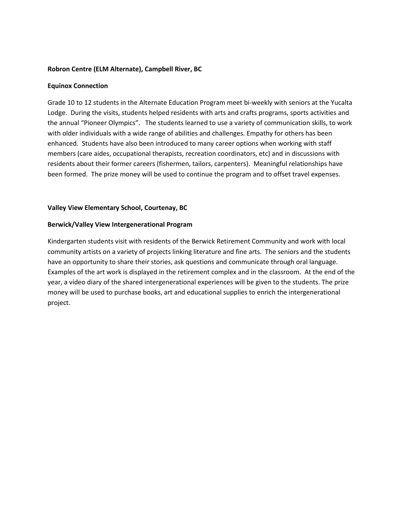# **Robron Centre (ELM Alternate), Campbell River, BC**

## **Equinox Connection**

Grade 10 to 12 students in the Alternate Education Program meet bi-weekly with seniors at the Yucalta Lodge. During the visits, students helped residents with arts and crafts programs, sports activities and the annual "Pioneer Olympics". The students learned to use a variety of communication skills, to work with older individuals with a wide range of abilities and challenges. Empathy for others has been enhanced. Students have also been introduced to many career options when working with staff members (care aides, occupational therapists, recreation coordinators, etc) and in discussions with residents about their former careers (fishermen, tailors, carpenters). Meaningful relationships have been formed. The prize money will be used to continue the program and to offset travel expenses.

## **Valley View Elementary School, Courtenay, BC**

## **Berwick/Valley View Intergenerational Program**

Kindergarten students visit with residents of the Berwick Retirement Community and work with local community artists on a variety of projects linking literature and fine arts. The seniors and the students have an opportunity to share their stories, ask questions and communicate through oral language. Examples of the art work is displayed in the retirement complex and in the classroom. At the end of the year, a video diary of the shared intergenerational experiences will be given to the students. The prize money will be used to purchase books, art and educational supplies to enrich the intergenerational project.